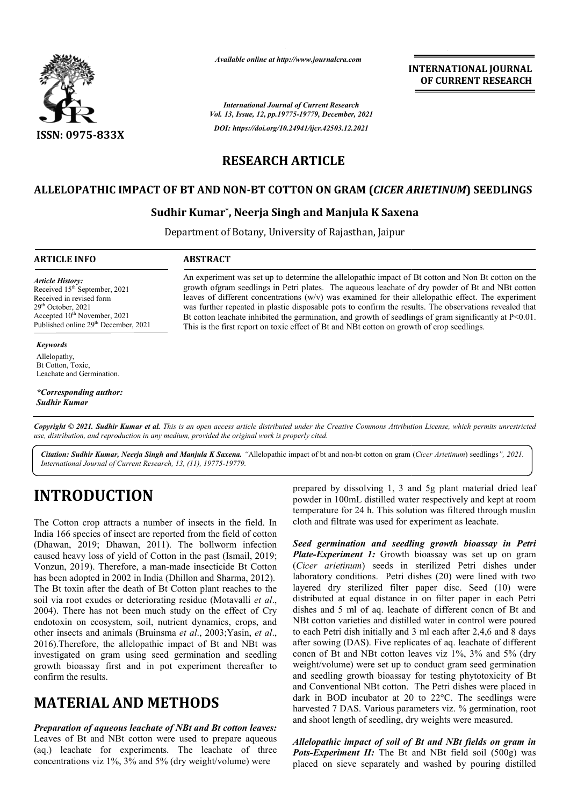

*Available online at http://www.journalcra.com*

**INTERNATIONAL JOURNAL OF CURRENT RESEARCH**

*International Journal of Current Research Vol. 13, Issue, 12, pp.19775-19779, December, 2021 DOI: https://doi.org/10.24941/ijcr.42503.12.2021*

# **RESEARCH ARTICLE**

### **ALLELOPATHIC IMPACT OF BT AND NON-BT COTTON ON GRAM (***CICER ARIETINUM* **) SEEDLINGS**

## **Sudhir Kumar Kumar\*, Neerja Singh and Manjula K Saxena Saxena**

Department of Botany, University of Rajasthan, Jaipur

### **ARTICLE INFO ABSTRACT**

*Article History: Article History:* Received 15<sup>th</sup> September, 2021 Received in revised form Received  $29<sup>th</sup>$  October, 2021 Accepted  $10^{\text{th}}$  November, 2021 Published online 29<sup>th</sup> December, 2021 Received in revised form<br>29<sup>th</sup> October, 2021 Accepted 10<sup>th</sup> Novembe 29th October, 2021 10<sup>th</sup> November, 2021

#### *Keywords*

Allelopathy, Bt Cotton, Toxic, Leachate and Germination.

*\*Corresponding author: Sudhir Kumar*

An experiment was set up to determine the allelopathic impact of Bt cotton and Non Bt cotton on the growth ofgram seedlings in Petri plates. The aqueous leachate of dry powder of Bt and NBt cotton leaves of different concentrations (w/v) was examined for their allelopathic effect. The experiment was further repeated in plastic disposable pots to confirm the results. The observations revealed that Bt cotton leachate inhibited the germination, and growth of seedlings of gram significantly at P<0.01. This is the first report on toxic effect of Bt and NBt cotton on growth of crop seedlings.

Copyright © 2021. Sudhir Kumar et al. This is an open access article distributed under the Creative Commons Attribution License, which permits unrestricted *use, distribution, and reproduction in any medium, provided the original work is properly cited.*

Citation: Sudhir Kumar, Neerja Singh and Manjula K Saxena. "Allelopathic impact of bt and non-bt cotton on gram (Cicer Arietinum) seedlings", 2021. *International Journal of Current Research, 13, (11), 19775 19775-19779.*

# **INTRODUCTION**

The Cotton crop attracts a number of insects in the field. In India 166 species of insect are reported from the field of cotton (Dhawan, 2019; Dhawan, 2011). The bollworm infection caused heavy loss of yield of Cotton in the past (Ismail, 2019; Vonzun, 2019). Therefore, a man-made insecticide Bt Cotton has been adopted in 2002 in India (Dhillon and Sharma, 2012). The Bt toxin after the death of Bt Cotton plant reaches to the soil via root exudes or deteriorating residue (Motavalli *et al*., 2004). There has not been much study on the effect of Cry endotoxin on ecosystem, soil, nutrient dynamics, crops, and other insects and animals (Bruinsma *et al*., 2003; 2003;Yasin, *et al*., 2016).Therefore, the allelopathic impact of Bt and NBt was investigated on gram using seed germination and seedling growth bioassay first and in pot experiment thereafter to confirm the results.

# **MATERIAL AND METHODS**

*Preparation of aqueous leachate of NBt and Bt cotton leaves:* Leaves of Bt and NBt cotton were used to prepare aqueous (aq.) leachate for experiments. The leachate of three concentrations viz 1%, 3% and 5% (dry weight/volume) were

prepared by dissolving 1, 3 and 5g plant material dried leaf powder in 100mL distilled water respectively and kept at room temperature for 24 h. This solution was filtered through muslin cloth and filtrate was used for experiment as leachate.

*Seed germination and seedling growth bioassay in Petri Plate-Experiment 1:* Growth bioassay was set up on gram (*Cicer arietinum*) seeds in sterilized Petri dishes under laboratory conditions. Petri dishes (20) were lined with two layered dry sterilized filter paper disc. Seed (10) were distributed at equal distance in on filter paper in each Petri dishes and 5 ml of aq. leachate of different concn of Bt and NBt cotton varieties and distilled water in control were poured to each Petri dish initially and 3 ml each after 2,4,6 and 8 days after sowing (DAS). Five replicates of aq. leachate of different concn of Bt and NBt cotton leaves viz 1%, 3% and 5% (dry weight/volume) were set up to conduct gram seed germination and seedling growth bioassay for testing phytotoxicity of Bt and Conventional NBt cotton. The Petri dishes were placed in dark in BOD incubator at 20 to 22°C. The seedlings were harvested 7 DAS. Various parameters viz. % germination, root and shoot length of seedling, dry weights were measured.

*Allelopathic impact of soil of Bt and NBt fields on gram in* Pots-Experiment *II*: The Bt and NBt field soil (500g) was placed on sieve separately and washed by pouring distilled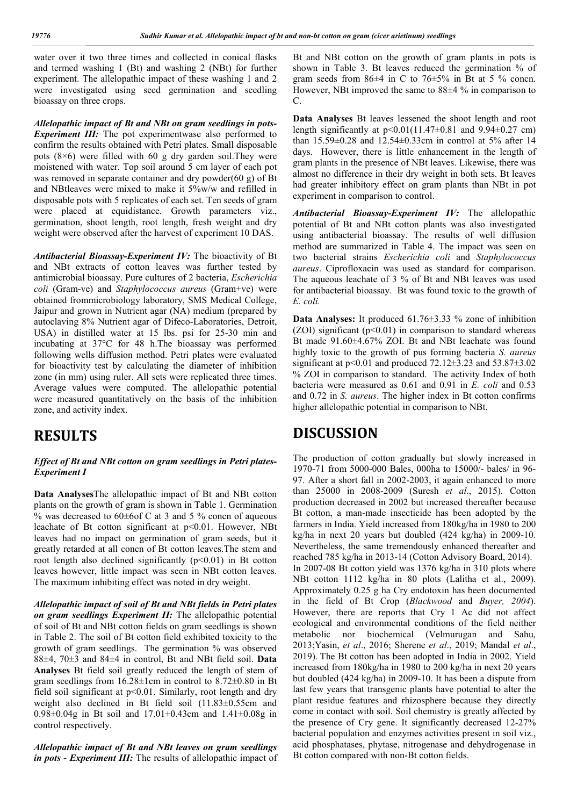water over it two three times and collected in conical flasks and termed washing 1 (Bt) and washing 2 (NBt) for further experiment. The allelopathic impact of these washing 1 and 2 were investigated using seed germination and seedling bioassay on three crops.

*Allelopathic impact of Bt and NBt on gram seedlings in pots-Experiment III:* The pot experimentwase also performed to confirm the results obtained with Petri plates. Small disposable pots (8×6) were filled with 60 g dry garden soil.They were moistened with water. Top soil around 5 cm layer of each pot was removed in separate container and dry powder(60 g) of Bt and NBtleaves were mixed to make it 5%w/w and refilled in disposable pots with 5 replicates of each set. Ten seeds of gram were placed at equidistance. Growth parameters viz., germination, shoot length, root length, fresh weight and dry weight were observed after the harvest of experiment 10 DAS.

*Antibacterial Bioassay-Experiment IV:* The bioactivity of Bt and NBt extracts of cotton leaves was further tested by antimicrobial bioassay. Pure cultures of 2 bacteria, *Escherichia coli* (Gram-ve) and *Staphylococcus aureus* (Gram+ve) were obtained frommicrobiology laboratory, SMS Medical College, Jaipur and grown in Nutrient agar (NA) medium (prepared by autoclaving 8% Nutrient agar of Difeco-Laboratories, Detroit, USA) in distilled water at 15 lbs. psi for 25-30 min and incubating at 37°C for 48 h.The bioassay was performed following wells diffusion method. Petri plates were evaluated for bioactivity test by calculating the diameter of inhibition zone (in mm) using ruler. All sets were replicated three times. Average values were computed. The allelopathic potential were measured quantitatively on the basis of the inhibition zone, and activity index.

# **RESULTS**

#### *Effect of Bt and NBt cotton on gram seedlings in Petri plates-Experiment I*

**Data Analyses**The allelopathic impact of Bt and NBt cotton plants on the growth of gram is shown in Table 1. Germination % was decreased to  $60\pm 6$  cf C at 3 and 5 % concn of aqueous leachate of Bt cotton significant at p<0.01. However, NBt leaves had no impact on germination of gram seeds, but it greatly retarded at all concn of Bt cotton leaves.The stem and root length also declined significantly  $(p<0.01)$  in Bt cotton leaves however, little impact was seen in NBt cotton leaves. The maximum inhibiting effect was noted in dry weight.

*Allelopathic impact of soil of Bt and NBt fields in Petri plates on gram seedlings Experiment II:* The allelopathic potential of soil of Bt and NBt cotton fields on gram seedlings is shown in Table 2. The soil of Bt cotton field exhibited toxicity to the growth of gram seedlings. The germination % was observed 88±4, 70±3 and 84±4 in control, Bt and NBt field soil. **Data Analyses** Bt field soil greatly reduced the length of stem of gram seedlings from 16.28±1cm in control to 8.72±0.80 in Bt field soil significant at p<0.01. Similarly, root length and dry weight also declined in Bt field soil (11.83±0.55cm and 0.98±0.04g in Bt soil and 17.01±0.43cm and 1.41±0.08g in control respectively.

*Allelopathic impact of Bt and NBt leaves on gram seedlings in pots - Experiment III:* The results of allelopathic impact of Bt and NBt cotton on the growth of gram plants in pots is shown in Table 3. Bt leaves reduced the germination % of gram seeds from  $86\pm4$  in C to  $76\pm5\%$  in Bt at 5 % concn. However, NBt improved the same to 88±4 % in comparison to C.

**Data Analyses** Bt leaves lessened the shoot length and root length significantly at p<0.01(11.47±0.81 and 9.94±0.27 cm) than 15.59±0.28 and 12.54±0.33cm in control at 5% after 14 days. However, there is little enhancement in the length of gram plants in the presence of NBt leaves. Likewise, there was almost no difference in their dry weight in both sets. Bt leaves had greater inhibitory effect on gram plants than NBt in pot experiment in comparison to control.

*Antibacterial Bioassay-Experiment IV:* The allelopathic potential of Bt and NBt cotton plants was also investigated using antibacterial bioassay. The results of well diffusion method are summarized in Table 4. The impact was seen on two bacterial strains *Escherichia coli* and *Staphylococcus aureus*. Ciprofloxacin was used as standard for comparison. The aqueous leachate of 3 % of Bt and NBt leaves was used for antibacterial bioassay. Bt was found toxic to the growth of *E. coli.*

**Data Analyses:** It produced 61.76±3.33 % zone of inhibition (ZOI) significant  $(p<0.01)$  in comparison to standard whereas Bt made 91.60±4.67% ZOI. Bt and NBt leachate was found highly toxic to the growth of pus forming bacteria *S. aureus* significant at  $p<0.01$  and produced 72.12 $\pm$ 3.23 and 53.87 $\pm$ 3.02 % ZOI in comparison to standard. The activity Index of both bacteria were measured as 0.61 and 0.91 in *E. coli* and 0.53 and 0.72 in *S. aureus*. The higher index in Bt cotton confirms higher allelopathic potential in comparison to NBt.

# **DISCUSSION**

The production of cotton gradually but slowly increased in 1970-71 from 5000-000 Bales, 000ha to 15000/- bales/ in 96- 97. After a short fall in 2002-2003, it again enhanced to more than 25000 in 2008-2009 (Suresh *et al*., 2015). Cotton production decreased in 2002 but increased thereafter because Bt cotton, a man-made insecticide has been adopted by the farmers in India. Yield increased from 180kg/ha in 1980 to 200 kg/ha in next 20 years but doubled (424 kg/ha) in 2009-10. Nevertheless, the same tremendously enhanced thereafter and reached 785 kg/ha in 2013-14 (Cotton Advisory Board, 2014). In 2007-08 Bt cotton yield was 1376 kg/ha in 310 plots where NBt cotton 1112 kg/ha in 80 plots (Lalitha et al., 2009). Approximately 0.25 g ha Cry endotoxin has been documented in the field of Bt Crop (*Blackwood* and *Buyer, 2004*). However, there are reports that Cry 1 Ac did not affect ecological and environmental conditions of the field neither metabolic nor biochemical (Velmurugan and Sahu, 2013;Yasin, *et al*., 2016; Sherene *et al*., 2019; Mandal *et al*., 2019). The Bt cotton has been adopted in India in 2002. Yield increased from 180kg/ha in 1980 to 200 kg/ha in next 20 years but doubled (424 kg/ha) in 2009-10. It has been a dispute from last few years that transgenic plants have potential to alter the plant residue features and rhizosphere because they directly come in contact with soil. Soil chemistry is greatly affected by the presence of Cry gene. It significantly decreased 12-27% bacterial population and enzymes activities present in soil viz., acid phosphatases, phytase, nitrogenase and dehydrogenase in Bt cotton compared with non-Bt cotton fields.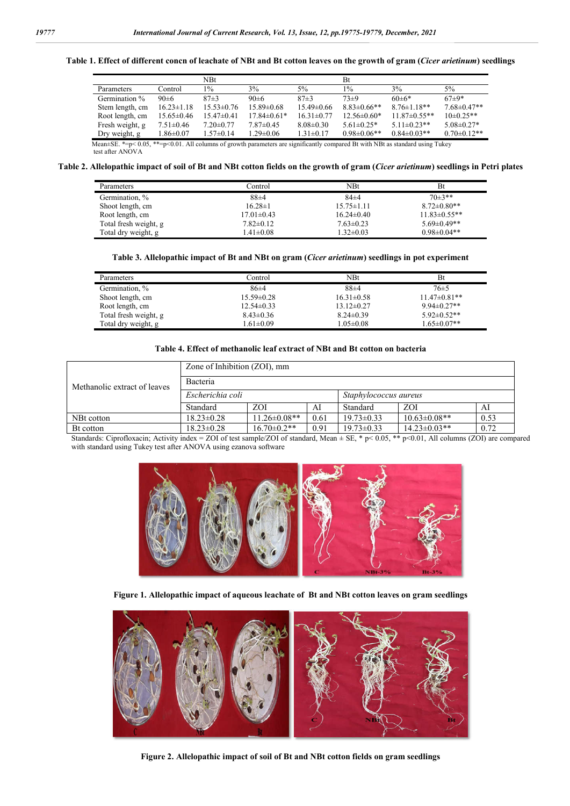#### **Table 1. Effect of different concn of leachate of NBt and Bt cotton leaves on the growth of gram (***Cicer arietinum***) seedlings**

|                                                                                                                                      |                  | NBt              |                   |                  | Bt                 |                    |                   |
|--------------------------------------------------------------------------------------------------------------------------------------|------------------|------------------|-------------------|------------------|--------------------|--------------------|-------------------|
| Parameters                                                                                                                           | Control          | $1\%$            | 3%                | 5%               | $1\%$              | 3%                 | $5\%$             |
| Germination %                                                                                                                        | $90 \pm 6$       | $87+3$           | $90 \pm 6$        | $87+3$           | $73\pm9$           | $60+6*$            | $67+9*$           |
| Stem length, cm                                                                                                                      | $16.23 \pm 1.18$ | $15.53 \pm 0.76$ | $15.89 \pm 0.68$  | $15.49 \pm 0.66$ | $8.83 \pm 0.66$ ** | $8.76 \pm 1.18**$  | $7.68 \pm 0.47**$ |
| Root length, cm                                                                                                                      | $15.65 \pm 0.46$ | $15.47 \pm 0.41$ | $17.84 \pm 0.61*$ | $16.31 \pm 0.77$ | $12.56 \pm 0.60*$  | $11.87 \pm 0.55**$ | $10\pm0.25**$     |
| Fresh weight, g                                                                                                                      | $7.51 \pm 0.46$  | $7.20 \pm 0.77$  | $7.87 \pm 0.45$   | $8.08 \pm 0.30$  | $5.61 \pm 0.25*$   | $5.11 \pm 0.23$ ** | $5.08 \pm 0.27*$  |
| Dry weight, g                                                                                                                        | $1.86 \pm 0.07$  | $1.57 \pm 0.14$  | $1.29 \pm 0.06$   | $1.31 \pm 0.17$  | $0.98 \pm 0.06$ ** | $0.84 \pm 0.03$ ** | $0.70 \pm 0.12**$ |
| Mean $\pm$ SE. *=p< 0.05, **=p<0.01. All columns of growth parameters are significantly compared Bt with NBt as standard using Tukey |                  |                  |                   |                  |                    |                    |                   |
| test after ANOVA                                                                                                                     |                  |                  |                   |                  |                    |                    |                   |

#### **Table 2. Allelopathic impact of soil of Bt and NBt cotton fields on the growth of gram (***Cicer arietinum***) seedlings in Petri plates**

| <b>Parameters</b>     | Control           | NBt              | Bt                  |
|-----------------------|-------------------|------------------|---------------------|
| Germination, %        | $88 + 4$          | $84\pm4$         | $70\pm3**$          |
| Shoot length, cm      | $16.28 \pm 1$     | $15.75 \pm 1.11$ | $8.72 \pm 0.80**$   |
| Root length, cm       | $17.01 \pm 0.43$  | $16.24 \pm 0.40$ | $11.83 \pm 0.55$ ** |
| Total fresh weight, g | $7.82 \pm 0.12$   | $7.63 \pm 0.23$  | $5.69 \pm 0.49**$   |
| Total dry weight, g   | $1.41 {\pm} 0.08$ | $1.32 \pm 0.03$  | $0.98 \pm 0.04**$   |

#### **Table 3. Allelopathic impact of Bt and NBt on gram (***Cicer arietinum***) seedlings in pot experiment**

| Parameters            | Control          | NBt              | <b>Bt</b>         |
|-----------------------|------------------|------------------|-------------------|
| Germination, %        | $86\pm4$         | $88+4$           | $76\pm5$          |
| Shoot length, cm      | $15.59 \pm 0.28$ | $16.31 \pm 0.58$ | $11.47\pm0.81**$  |
| Root length, cm       | $12.54 \pm 0.33$ | $13.12 \pm 0.27$ | $9.94 \pm 0.27**$ |
| Total fresh weight, g | $8.43 \pm 0.36$  | $8.24 \pm 0.39$  | $5.92 \pm 0.52**$ |
| Total dry weight, g   | $1.61 \pm 0.09$  | $1.05 \pm 0.08$  | $1.65 \pm 0.07**$ |

#### **Table 4. Effect of methanolic leaf extract of NBt and Bt cotton on bacteria**

|                              | Zone of Inhibition (ZOI), mm |                    |      |                       |                     |      |  |
|------------------------------|------------------------------|--------------------|------|-----------------------|---------------------|------|--|
| Methanolic extract of leaves | <b>Bacteria</b>              |                    |      |                       |                     |      |  |
|                              | Escherichia coli             |                    |      | Staphylococcus aureus |                     |      |  |
|                              | Standard                     | <b>ZOI</b>         | AI   | Standard              | <b>ZOI</b>          | AI   |  |
| NBt cotton                   | $18.23 \pm 0.28$             | $11.26 \pm 0.08**$ | 0.61 | $19.73 \pm 0.33$      | $10.63 \pm 0.08$ ** | 0.53 |  |
| Bt cotton                    | $18.23 \pm 0.28$             | $16.70 \pm 0.2$ ** | 0.91 | $19.73 \pm 0.33$      | $14.23 \pm 0.03$ ** | 0.72 |  |

Standards: Ciprofloxacin; Activity index = ZOI of test sample/ZOI of standard, Mean ± SE, \* p<0.05, \*\* p<0.01, All columns (ZOI) are compared with standard using Tukey test after ANOVA using ezanova software



**Figure 1. Allelopathic impact of aqueous leachate of Bt and NBt cotton leaves on gram seedlings**



**Figure 2. Allelopathic impact of soil of Bt and NBt cotton fields on gram seedlings**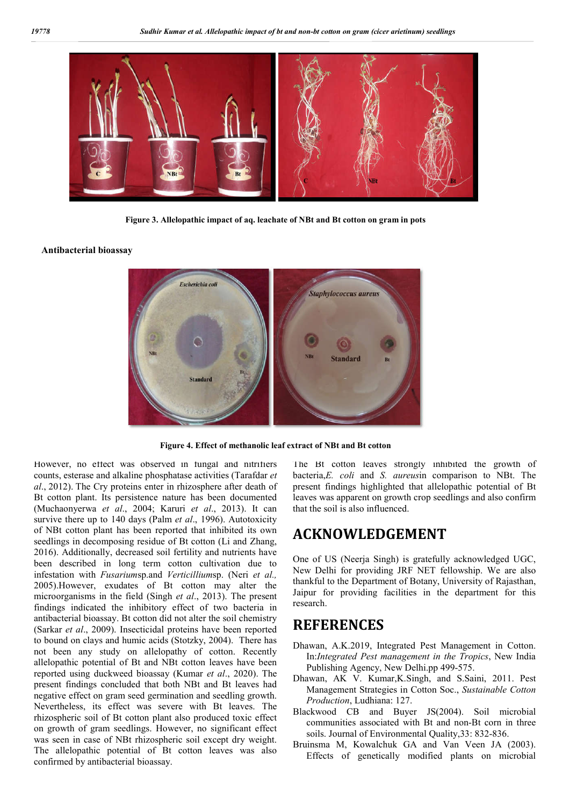

**Figure 3. Allelopathic impact of aq. leachate of NBt and Bt cotton on gram in pots**

#### **Antibacterial bioassay**



**Figure 4. Effect of methanolic leaf extract of NBt and Bt cotton**

However, no effect was observed in fungal and nitrifiers counts, esterase and alkaline phosphatase activities (Tarafdar *et al*., 2012). The Cry proteins enter in rhizosphere after death of Bt cotton plant. Its persistence nature has been documented (Muchaonyerwa *et al*., 2004; Karuri *et al*., 2013). It can survive there up to 140 days (Palm *et al*., 1996). Autotoxicity of NBt cotton plant has been reported that inhibited its own seedlings in decomposing residue of Bt cotton (Li and Zhang, 2016). Additionally, decreased soil fertility and nutrients have been described in long term cotton cultivation due to infestation with *Fusarium*sp.and *Verticillium*sp. (Neri *et al.,* 2005).However, exudates of Bt cotton may alter the microorganisms in the field (Singh *et al*., 2013). The present findings indicated the inhibitory effect of two bacteria in antibacterial bioassay. Bt cotton did not alter the soil chemistry (Sarkar *et al*., 2009). Insecticidal proteins have been reported to bound on clays and humic acids (Stotzky, 2004). There has not been any study on allelopathy of cotton. Recently allelopathic potential of Bt and NBt cotton leaves have been reported using duckweed bioassay (Kumar *et al*., 2020). The present findings concluded that both NBt and Bt leaves had negative effect on gram seed germination and seedling growth. Nevertheless, its effect was severe with Bt leaves. The rhizospheric soil of Bt cotton plant also produced toxic effect on growth of gram seedlings. However, no significant effect was seen in case of NBt rhizospheric soil except dry weight. The allelopathic potential of Bt cotton leaves was also confirmed by antibacterial bioassay.

The Bt cotton leaves strongly inhibited the growth of bacteria,*E. coli* and *S. aureus*in comparison to NBt. The present findings highlighted that allelopathic potential of Bt leaves was apparent on growth crop seedlings and also confirm that the soil is also influenced.

# **ACKNOWLEDGEMENT**

One of US (Neerja Singh) is gratefully acknowledged UGC, New Delhi for providing JRF NET fellowship. We are also thankful to the Department of Botany, University of Rajasthan, Jaipur for providing facilities in the department for this research.

# **REFERENCES**

- Dhawan, A.K.2019, Integrated Pest Management in Cotton. In:*Integrated Pest management in the Tropics*, New India Publishing Agency, New Delhi.pp 499-575.
- Dhawan, AK V. Kumar,K.Singh, and S.Saini, 2011. Pest Management Strategies in Cotton Soc., *Sustainable Cotton Production*, Ludhiana: 127.
- Blackwood CB and Buyer JS(2004). Soil microbial communities associated with Bt and non-Bt corn in three soils. Journal of Environmental Quality,33: 832-836.
- Bruinsma M, Kowalchuk GA and Van Veen JA (2003). Effects of genetically modified plants on microbial